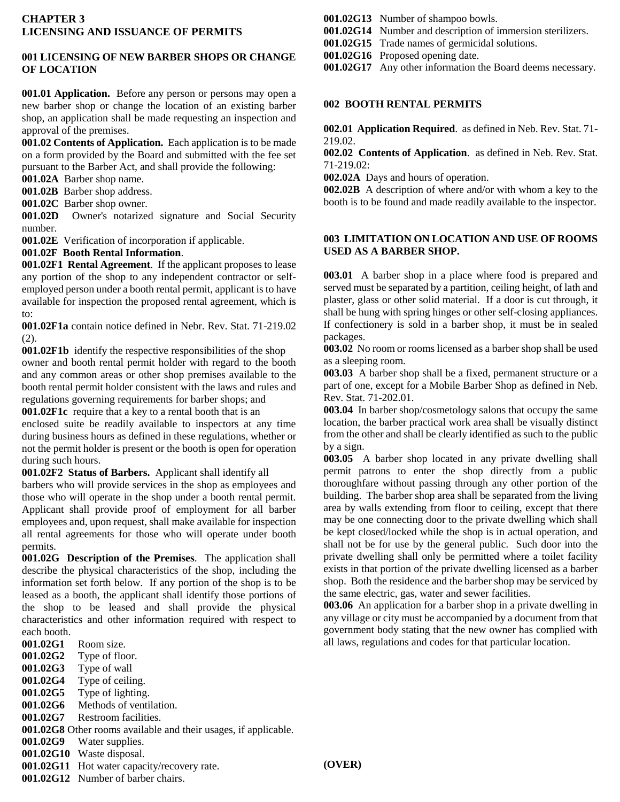# **001 LICENSING OF NEW BARBER SHOPS OR CHANGE OF LOCATION**

**001.01 Application.** Before any person or persons may open a new barber shop or change the location of an existing barber shop, an application shall be made requesting an inspection and approval of the premises.

**001.02 Contents of Application.** Each application is to be made on a form provided by the Board and submitted with the fee set pursuant to the Barber Act, and shall provide the following:

**001.02A** Barber shop name.

**001.02B** Barber shop address.

**001.02C** Barber shop owner.

**001.02D** Owner's notarized signature and Social Security number.

**001.02E** Verification of incorporation if applicable.

**001.02F Booth Rental Information**.

**001.02F1 Rental Agreement**. If the applicant proposes to lease any portion of the shop to any independent contractor or selfemployed person under a booth rental permit, applicant is to have available for inspection the proposed rental agreement, which is to:

**001.02F1a** contain notice defined in Nebr. Rev. Stat. 71-219.02 (2).

**001.02F1b** identify the respective responsibilities of the shop owner and booth rental permit holder with regard to the booth and any common areas or other shop premises available to the booth rental permit holder consistent with the laws and rules and regulations governing requirements for barber shops; and

**001.02F1c** require that a key to a rental booth that is an enclosed suite be readily available to inspectors at any time during business hours as defined in these regulations, whether or not the permit holder is present or the booth is open for operation during such hours.

**001.02F2 Status of Barbers.** Applicant shall identify all barbers who will provide services in the shop as employees and those who will operate in the shop under a booth rental permit. Applicant shall provide proof of employment for all barber employees and, upon request, shall make available for inspection all rental agreements for those who will operate under booth permits.

**001.02G Description of the Premises**. The application shall describe the physical characteristics of the shop, including the information set forth below. If any portion of the shop is to be leased as a booth, the applicant shall identify those portions of the shop to be leased and shall provide the physical characteristics and other information required with respect to each booth.

- **001.02G1** Room size.
- **001.02G2** Type of floor.
- **001.02G3** Type of wall
- **001.02G4** Type of ceiling.
- **001.02G5** Type of lighting.
- **001.02G6** Methods of ventilation.
- **001.02G7** Restroom facilities.
- **001.02G8** Other rooms available and their usages, if applicable.
- **001.02G9** Water supplies.
- **001.02G10** Waste disposal.
- **001.02G11** Hot water capacity/recovery rate.
- **001.02G12** Number of barber chairs.

## **001.02G13** Number of shampoo bowls.

**001.02G14** Number and description of immersion sterilizers.

- **001.02G15** Trade names of germicidal solutions.
- **001.02G16** Proposed opening date.
- **001.02G17** Any other information the Board deems necessary.

#### **002 BOOTH RENTAL PERMITS**

**002.01 Application Required**. as defined in Neb. Rev. Stat. 71- 219.02.

**002.02 Contents of Application**. as defined in Neb. Rev. Stat. 71-219.02:

**002.02A** Days and hours of operation.

**002.02B** A description of where and/or with whom a key to the booth is to be found and made readily available to the inspector.

## **003 LIMITATION ON LOCATION AND USE OF ROOMS USED AS A BARBER SHOP.**

**003.01** A barber shop in a place where food is prepared and served must be separated by a partition, ceiling height, of lath and plaster, glass or other solid material. If a door is cut through, it shall be hung with spring hinges or other self-closing appliances. If confectionery is sold in a barber shop, it must be in sealed packages.

**003.02** No room or rooms licensed as a barber shop shall be used as a sleeping room.

**003.03** A barber shop shall be a fixed, permanent structure or a part of one, except for a Mobile Barber Shop as defined in Neb. Rev. Stat. 71-202.01.

**003.04** In barber shop/cosmetology salons that occupy the same location, the barber practical work area shall be visually distinct from the other and shall be clearly identified as such to the public by a sign.

**003.05** A barber shop located in any private dwelling shall permit patrons to enter the shop directly from a public thoroughfare without passing through any other portion of the building. The barber shop area shall be separated from the living area by walls extending from floor to ceiling, except that there may be one connecting door to the private dwelling which shall be kept closed/locked while the shop is in actual operation, and shall not be for use by the general public. Such door into the private dwelling shall only be permitted where a toilet facility exists in that portion of the private dwelling licensed as a barber shop. Both the residence and the barber shop may be serviced by the same electric, gas, water and sewer facilities.

**003.06** An application for a barber shop in a private dwelling in any village or city must be accompanied by a document from that government body stating that the new owner has complied with all laws, regulations and codes for that particular location.

**(OVER)**